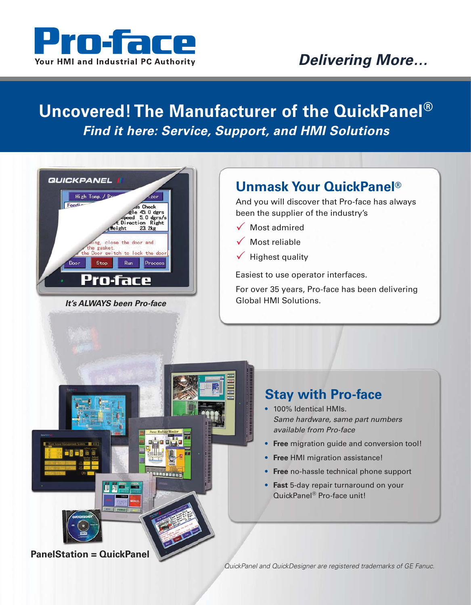

## *Delivering More…*

## **Uncovered! The Manufacturer of the QuickPanel®** *Find it here: Service, Support, and HMI Solutions*



*It's ALWAYS been Pro-face*

## **Unmask Your QuickPanel®**

And you will discover that Pro-face has always been the supplier of the industry's

- $\sqrt{\phantom{a}}$  Most admired
- $\sqrt{\phantom{a}}$  Most reliable
- $\checkmark$  Highest quality

Easiest to use operator interfaces.

For over 35 years, Pro-face has been delivering Global HMI Solutions.

### **Stay with Pro-face**

- 100% Identical HMIs. Same hardware, same part numbers available from Pro-face
- **Free** migration guide and conversion tool!
- **Free** HMI migration assistance!
- **Free** no-hassle technical phone support
- **Fast** 5-day repair turnaround on your QuickPanel® Pro-face unit!

**PanelStation = QuickPanel**

QuickPanel and QuickDesigner are registered trademarks of GE Fanuc.